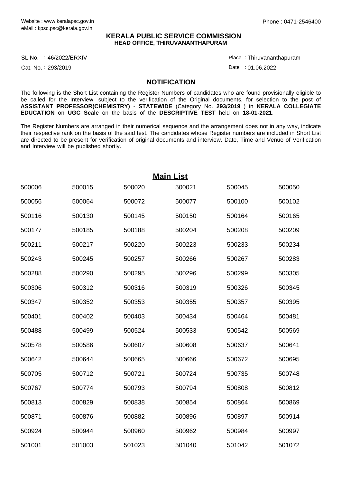## **KERALA PUBLIC SERVICE COMMISSION HEAD OFFICE, THIRUVANANTHAPURAM**

SL.No. :46/2022/ERXIV Place

Cat. No.: 293/2019

Thiruvananthapuram :

Date : 01.06.2022

## **NOTIFICATION**

The following is the Short List containing the Register Numbers of candidates who are found provisionally eligible to be called for the Interview, subject to the verification of the Original documents, for selection to the post of **ASSISTANT PROFESSOR(CHEMISTRY)** - **STATEWIDE** (Category No. **293/2019** ) in **KERALA COLLEGIATE EDUCATION** on **UGC Scale** on the basis of the **DESCRIPTIVE TEST** held on **18-01-2021**.

The Register Numbers are arranged in their numerical sequence and the arrangement does not in any way, indicate their respective rank on the basis of the said test. The candidates whose Register numbers are included in Short List are directed to be present for verification of original documents and interview. Date, Time and Venue of Verification and Interview will be published shortly.

|        |        |        | <b>Main List</b> |        |        |
|--------|--------|--------|------------------|--------|--------|
| 500006 | 500015 | 500020 | 500021           | 500045 | 500050 |
| 500056 | 500064 | 500072 | 500077           | 500100 | 500102 |
| 500116 | 500130 | 500145 | 500150           | 500164 | 500165 |
| 500177 | 500185 | 500188 | 500204           | 500208 | 500209 |
| 500211 | 500217 | 500220 | 500223           | 500233 | 500234 |
| 500243 | 500245 | 500257 | 500266           | 500267 | 500283 |
| 500288 | 500290 | 500295 | 500296           | 500299 | 500305 |
| 500306 | 500312 | 500316 | 500319           | 500326 | 500345 |
| 500347 | 500352 | 500353 | 500355           | 500357 | 500395 |
| 500401 | 500402 | 500403 | 500434           | 500464 | 500481 |
| 500488 | 500499 | 500524 | 500533           | 500542 | 500569 |
| 500578 | 500586 | 500607 | 500608           | 500637 | 500641 |
| 500642 | 500644 | 500665 | 500666           | 500672 | 500695 |
| 500705 | 500712 | 500721 | 500724           | 500735 | 500748 |
| 500767 | 500774 | 500793 | 500794           | 500808 | 500812 |
| 500813 | 500829 | 500838 | 500854           | 500864 | 500869 |
| 500871 | 500876 | 500882 | 500896           | 500897 | 500914 |
| 500924 | 500944 | 500960 | 500962           | 500984 | 500997 |
| 501001 | 501003 | 501023 | 501040           | 501042 | 501072 |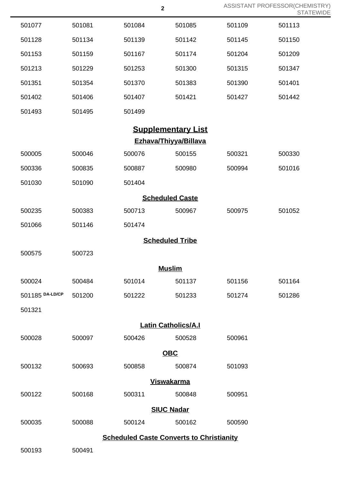|                            |        |                                                 | $\mathbf{2}$              |        | ASSISTANT PROFESSOR(CHEMISTRY)<br><b>STATEWIDE</b> |  |  |  |
|----------------------------|--------|-------------------------------------------------|---------------------------|--------|----------------------------------------------------|--|--|--|
| 501077                     | 501081 | 501084                                          | 501085                    | 501109 | 501113                                             |  |  |  |
| 501128                     | 501134 | 501139                                          | 501142                    | 501145 | 501150                                             |  |  |  |
| 501153                     | 501159 | 501167                                          | 501174                    | 501204 | 501209                                             |  |  |  |
| 501213                     | 501229 | 501253                                          | 501300                    | 501315 | 501347                                             |  |  |  |
| 501351                     | 501354 | 501370                                          | 501383                    | 501390 | 501401                                             |  |  |  |
| 501402                     | 501406 | 501407                                          | 501421                    | 501427 | 501442                                             |  |  |  |
| 501493                     | 501495 | 501499                                          |                           |        |                                                    |  |  |  |
|                            |        |                                                 | <b>Supplementary List</b> |        |                                                    |  |  |  |
| Ezhava/Thiyya/Billava      |        |                                                 |                           |        |                                                    |  |  |  |
| 500005                     | 500046 | 500076                                          | 500155                    | 500321 | 500330                                             |  |  |  |
| 500336                     | 500835 | 500887                                          | 500980                    | 500994 | 501016                                             |  |  |  |
| 501030                     | 501090 | 501404                                          |                           |        |                                                    |  |  |  |
| <b>Scheduled Caste</b>     |        |                                                 |                           |        |                                                    |  |  |  |
| 500235                     | 500383 | 500713                                          | 500967                    | 500975 | 501052                                             |  |  |  |
| 501066                     | 501146 | 501474                                          |                           |        |                                                    |  |  |  |
|                            |        |                                                 | <b>Scheduled Tribe</b>    |        |                                                    |  |  |  |
| 500575                     | 500723 |                                                 |                           |        |                                                    |  |  |  |
|                            |        |                                                 | <b>Muslim</b>             |        |                                                    |  |  |  |
| 500024                     | 500484 | 501014                                          | 501137                    | 501156 | 501164                                             |  |  |  |
| 501185 DA-LD/CP            | 501200 | 501222                                          | 501233                    | 501274 | 501286                                             |  |  |  |
| 501321                     |        |                                                 |                           |        |                                                    |  |  |  |
| <b>Latin Catholics/A.I</b> |        |                                                 |                           |        |                                                    |  |  |  |
| 500028                     | 500097 | 500426                                          | 500528                    | 500961 |                                                    |  |  |  |
|                            |        |                                                 | <b>OBC</b>                |        |                                                    |  |  |  |
| 500132                     | 500693 | 500858                                          | 500874                    | 501093 |                                                    |  |  |  |
| <b>Viswakarma</b>          |        |                                                 |                           |        |                                                    |  |  |  |
| 500122                     | 500168 | 500311                                          | 500848                    | 500951 |                                                    |  |  |  |
| <b>SIUC Nadar</b>          |        |                                                 |                           |        |                                                    |  |  |  |
| 500035                     | 500088 | 500124                                          | 500162                    | 500590 |                                                    |  |  |  |
|                            |        | <b>Scheduled Caste Converts to Christianity</b> |                           |        |                                                    |  |  |  |
| 500193                     | 500491 |                                                 |                           |        |                                                    |  |  |  |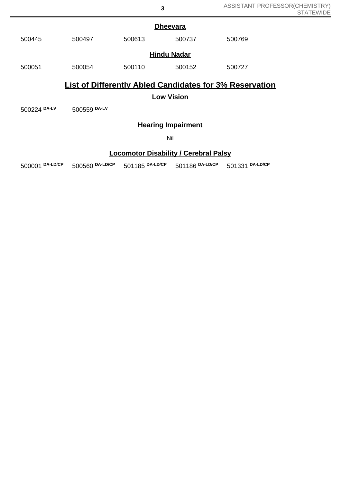|                                                                                     | <b>Dheevara</b>    |        |        |        |  |  |  |
|-------------------------------------------------------------------------------------|--------------------|--------|--------|--------|--|--|--|
| 500445                                                                              | 500497             | 500613 | 500737 | 500769 |  |  |  |
|                                                                                     | <b>Hindu Nadar</b> |        |        |        |  |  |  |
| 500051                                                                              | 500054             | 500110 | 500152 | 500727 |  |  |  |
| <b>List of Differently Abled Candidates for 3% Reservation</b><br><b>Low Vision</b> |                    |        |        |        |  |  |  |
| 500224 DA-LV                                                                        | 500559 DA-LV       |        |        |        |  |  |  |

## **Hearing Impairment**

Nil

## **Locomotor Disability / Cerebral Palsy**

500001 **DA-LD/CP** 500560 **DA-LD/CP** 501185 **DA-LD/CP** 501186 **DA-LD/CP** 501331 **DA-LD/CP**